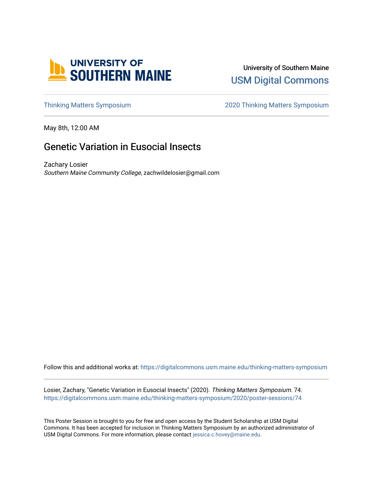

### University of Southern Maine [USM Digital Commons](https://digitalcommons.usm.maine.edu/)

[Thinking Matters Symposium](https://digitalcommons.usm.maine.edu/thinking-matters-symposium) [2020 Thinking Matters Symposium](https://digitalcommons.usm.maine.edu/thinking-matters-symposium/2020) 

May 8th, 12:00 AM

### Genetic Variation in Eusocial Insects

Zachary Losier Southern Maine Community College, zachwildelosier@gmail.com

Follow this and additional works at: [https://digitalcommons.usm.maine.edu/thinking-matters-symposium](https://digitalcommons.usm.maine.edu/thinking-matters-symposium?utm_source=digitalcommons.usm.maine.edu%2Fthinking-matters-symposium%2F2020%2Fposter-sessions%2F74&utm_medium=PDF&utm_campaign=PDFCoverPages) 

Losier, Zachary, "Genetic Variation in Eusocial Insects" (2020). Thinking Matters Symposium. 74. [https://digitalcommons.usm.maine.edu/thinking-matters-symposium/2020/poster-sessions/74](https://digitalcommons.usm.maine.edu/thinking-matters-symposium/2020/poster-sessions/74?utm_source=digitalcommons.usm.maine.edu%2Fthinking-matters-symposium%2F2020%2Fposter-sessions%2F74&utm_medium=PDF&utm_campaign=PDFCoverPages) 

This Poster Session is brought to you for free and open access by the Student Scholarship at USM Digital Commons. It has been accepted for inclusion in Thinking Matters Symposium by an authorized administrator of USM Digital Commons. For more information, please contact [jessica.c.hovey@maine.edu](mailto:ian.fowler@maine.edu).